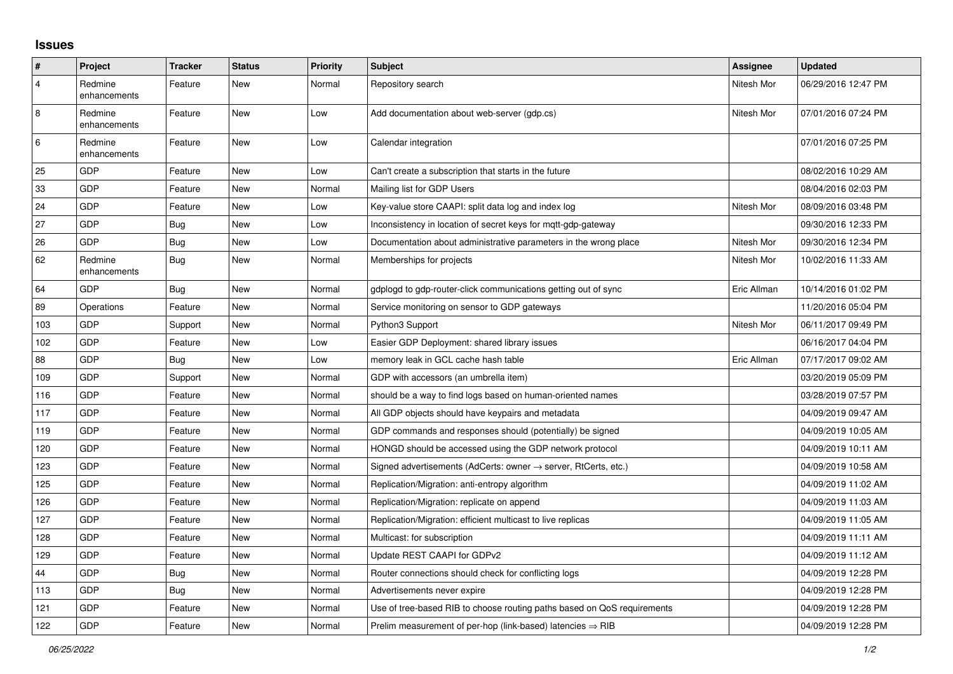## **Issues**

| #              | Project                 | <b>Tracker</b> | <b>Status</b> | <b>Priority</b> | <b>Subject</b>                                                             | Assignee    | <b>Updated</b>      |
|----------------|-------------------------|----------------|---------------|-----------------|----------------------------------------------------------------------------|-------------|---------------------|
| 4              | Redmine<br>enhancements | Feature        | <b>New</b>    | Normal          | Repository search                                                          | Nitesh Mor  | 06/29/2016 12:47 PM |
| $\overline{8}$ | Redmine<br>enhancements | Feature        | New           | Low             | Add documentation about web-server (gdp.cs)                                | Nitesh Mor  | 07/01/2016 07:24 PM |
| 6              | Redmine<br>enhancements | Feature        | <b>New</b>    | Low             | Calendar integration                                                       |             | 07/01/2016 07:25 PM |
| 25             | <b>GDP</b>              | Feature        | New           | Low             | Can't create a subscription that starts in the future                      |             | 08/02/2016 10:29 AM |
| 33             | GDP                     | Feature        | New           | Normal          | Mailing list for GDP Users                                                 |             | 08/04/2016 02:03 PM |
| 24             | <b>GDP</b>              | Feature        | New           | Low             | Key-value store CAAPI: split data log and index log                        | Nitesh Mor  | 08/09/2016 03:48 PM |
| 27             | GDP                     | <b>Bug</b>     | <b>New</b>    | Low             | Inconsistency in location of secret keys for mqtt-gdp-gateway              |             | 09/30/2016 12:33 PM |
| 26             | <b>GDP</b>              | <b>Bug</b>     | <b>New</b>    | Low             | Documentation about administrative parameters in the wrong place           | Nitesh Mor  | 09/30/2016 12:34 PM |
| 62             | Redmine<br>enhancements | <b>Bug</b>     | New           | Normal          | Memberships for projects                                                   | Nitesh Mor  | 10/02/2016 11:33 AM |
| 64             | <b>GDP</b>              | Bug            | <b>New</b>    | Normal          | gdplogd to gdp-router-click communications getting out of sync             | Eric Allman | 10/14/2016 01:02 PM |
| 89             | Operations              | Feature        | <b>New</b>    | Normal          | Service monitoring on sensor to GDP gateways                               |             | 11/20/2016 05:04 PM |
| 103            | <b>GDP</b>              | Support        | New           | Normal          | Python3 Support                                                            | Nitesh Mor  | 06/11/2017 09:49 PM |
| 102            | GDP                     | Feature        | New           | Low             | Easier GDP Deployment: shared library issues                               |             | 06/16/2017 04:04 PM |
| 88             | <b>GDP</b>              | Bug            | New           | Low             | memory leak in GCL cache hash table                                        | Eric Allman | 07/17/2017 09:02 AM |
| 109            | GDP                     | Support        | <b>New</b>    | Normal          | GDP with accessors (an umbrella item)                                      |             | 03/20/2019 05:09 PM |
| 116            | <b>GDP</b>              | Feature        | <b>New</b>    | Normal          | should be a way to find logs based on human-oriented names                 |             | 03/28/2019 07:57 PM |
| 117            | <b>GDP</b>              | Feature        | New           | Normal          | All GDP objects should have keypairs and metadata                          |             | 04/09/2019 09:47 AM |
| 119            | GDP                     | Feature        | <b>New</b>    | Normal          | GDP commands and responses should (potentially) be signed                  |             | 04/09/2019 10:05 AM |
| 120            | <b>GDP</b>              | Feature        | New           | Normal          | HONGD should be accessed using the GDP network protocol                    |             | 04/09/2019 10:11 AM |
| 123            | <b>GDP</b>              | Feature        | New           | Normal          | Signed advertisements (AdCerts: owner $\rightarrow$ server, RtCerts, etc.) |             | 04/09/2019 10:58 AM |
| 125            | <b>GDP</b>              | Feature        | <b>New</b>    | Normal          | Replication/Migration: anti-entropy algorithm                              |             | 04/09/2019 11:02 AM |
| 126            | <b>GDP</b>              | Feature        | New           | Normal          | Replication/Migration: replicate on append                                 |             | 04/09/2019 11:03 AM |
| 127            | GDP                     | Feature        | <b>New</b>    | Normal          | Replication/Migration: efficient multicast to live replicas                |             | 04/09/2019 11:05 AM |
| 128            | <b>GDP</b>              | Feature        | <b>New</b>    | Normal          | Multicast: for subscription                                                |             | 04/09/2019 11:11 AM |
| 129            | GDP                     | Feature        | New           | Normal          | Update REST CAAPI for GDPv2                                                |             | 04/09/2019 11:12 AM |
| 44             | GDP                     | Bug            | New           | Normal          | Router connections should check for conflicting logs                       |             | 04/09/2019 12:28 PM |
| 113            | <b>GDP</b>              | Bug            | New           | Normal          | Advertisements never expire                                                |             | 04/09/2019 12:28 PM |
| 121            | <b>GDP</b>              | Feature        | <b>New</b>    | Normal          | Use of tree-based RIB to choose routing paths based on QoS requirements    |             | 04/09/2019 12:28 PM |
| 122            | GDP                     | Feature        | New           | Normal          | Prelim measurement of per-hop (link-based) latencies $\Rightarrow$ RIB     |             | 04/09/2019 12:28 PM |